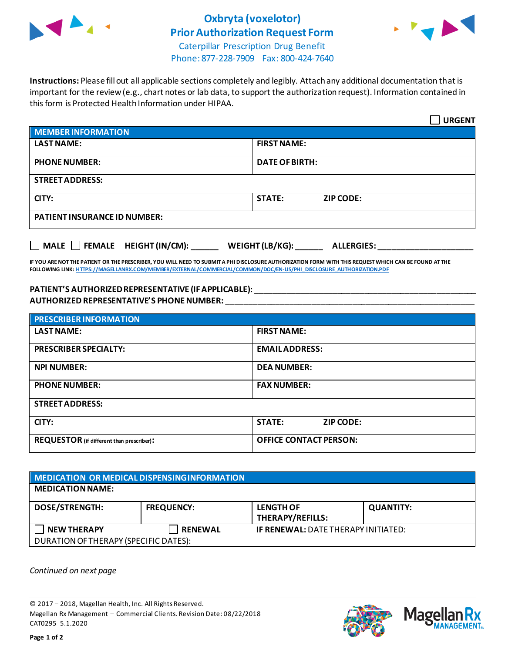

## **Oxbryta (voxelotor) Prior Authorization Request Form**



Caterpillar Prescription Drug Benefit Phone: 877-228-7909 Fax: 800-424-7640

**Instructions:** Please fill out all applicable sections completely and legibly. Attach any additional documentation that is important for the review (e.g., chart notes or lab data, to support the authorization request). Information contained in this form is Protected Health Information under HIPAA.

|                                                                                   | <b>URGENT</b>                     |  |
|-----------------------------------------------------------------------------------|-----------------------------------|--|
| <b>MEMBER INFORMATION</b>                                                         |                                   |  |
| <b>LAST NAME:</b>                                                                 | <b>FIRST NAME:</b>                |  |
| <b>PHONE NUMBER:</b>                                                              | <b>DATE OF BIRTH:</b>             |  |
| <b>STREET ADDRESS:</b>                                                            |                                   |  |
| CITY:                                                                             | <b>ZIP CODE:</b><br><b>STATE:</b> |  |
| <b>PATIENT INSURANCE ID NUMBER:</b>                                               |                                   |  |
| $\Box$ MALE $\Box$ FEMALE HEIGHT (IN/CM):<br>WEIGHT (LB/KG):<br><b>ALLERGIES:</b> |                                   |  |

**IF YOU ARE NOT THE PATIENT OR THE PRESCRIBER, YOU WILL NEED TO SUBMIT A PHI DISCLOSURE AUTHORIZATION FORM WITH THIS REQUEST WHICH CAN BE FOUND AT THE FOLLOWING LINK[: HTTPS://MAGELLANRX.COM/MEMBER/EXTERNAL/COMMERCIAL/COMMON/DOC/EN-US/PHI\\_DISCLOSURE\\_AUTHORIZATION.PDF](https://magellanrx.com/member/external/commercial/common/doc/en-us/PHI_Disclosure_Authorization.pdf)**

## **PATIENT'S AUTHORIZEDREPRESENTATIVE (IF APPLICABLE):** \_\_\_\_\_\_\_\_\_\_\_\_\_\_\_\_\_\_\_\_\_\_\_\_\_\_\_\_\_\_\_\_\_\_\_\_\_\_\_\_\_\_\_\_\_\_\_\_\_ **AUTHORIZED REPRESENTATIVE'S PHONE NUMBER:** \_\_\_\_\_\_\_\_\_\_\_\_\_\_\_\_\_\_\_\_\_\_\_\_\_\_\_\_\_\_\_\_\_\_\_\_\_\_\_\_\_\_\_\_\_\_\_\_\_\_\_\_\_\_\_

| <b>PRESCRIBER INFORMATION</b>             |                               |  |  |
|-------------------------------------------|-------------------------------|--|--|
| <b>LAST NAME:</b>                         | <b>FIRST NAME:</b>            |  |  |
| <b>PRESCRIBER SPECIALTY:</b>              | <b>EMAIL ADDRESS:</b>         |  |  |
| <b>NPI NUMBER:</b>                        | <b>DEA NUMBER:</b>            |  |  |
| <b>PHONE NUMBER:</b>                      | <b>FAX NUMBER:</b>            |  |  |
| <b>STREET ADDRESS:</b>                    |                               |  |  |
| CITY:                                     | <b>STATE:</b><br>ZIP CODE:    |  |  |
| REQUESTOR (if different than prescriber): | <b>OFFICE CONTACT PERSON:</b> |  |  |

## **MEDICATION OR MEDICAL DISPENSING INFORMATION MEDICATION NAME: DOSE/STRENGTH: FREQUENCY: LENGTH OF THERAPY/REFILLS: QUANTITY: NEW THERAPY RENEWAL IF RENEWAL:** DATE THERAPY INITIATED: DURATION OF THERAPY (SPECIFIC DATES):

*Continued on next page*

© 2017 – 2018, Magellan Health, Inc. All Rights Reserved. Magellan Rx Management – Commercial Clients. Revision Date: 08/22/2018 CAT0295 5.1.2020